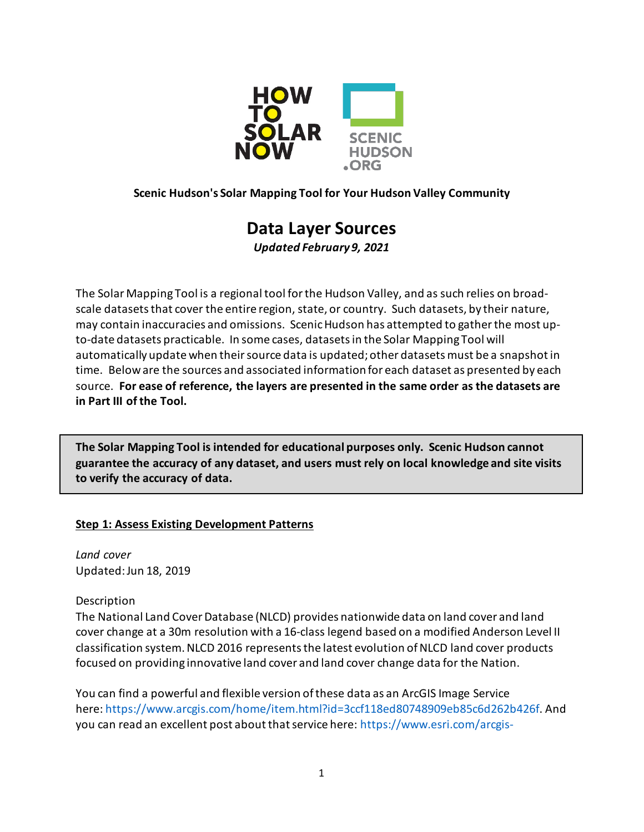

**Scenic Hudson's Solar Mapping Tool for Your Hudson Valley Community**

# **Data Layer Sources** *Updated February 9, 2021*

The Solar Mapping Tool is a regional tool for the Hudson Valley, and as such relies on broadscale datasets that cover the entire region, state, or country. Such datasets, by their nature, may contain inaccuracies and omissions. Scenic Hudson has attempted to gather the most upto-date datasets practicable. In some cases, datasets in the Solar Mapping Tool will automatically update when their source data is updated; other datasets must be a snapshot in time. Below are the sources and associated information for each dataset as presented by each source. **For ease of reference, the layers are presented in the same order as the datasets are in Part III of the Tool.**

**The Solar Mapping Tool is intended for educational purposes only. Scenic Hudson cannot guarantee the accuracy of any dataset, and users must rely on local knowledge and site visits to verify the accuracy of data.** 

# **Step 1: Assess Existing Development Patterns**

*Land cover*  Updated: Jun 18, 2019

# Description

The National Land Cover Database (NLCD) provides nationwide data on land cover and land cover change at a 30m resolution with a 16-class legend based on a modified Anderson Level II classification system. NLCD 2016 represents the latest evolution of NLCD land cover products focused on providing innovative land cover and land cover change data for the Nation.

You can find a powerful and flexible version of these data as an ArcGIS Image Service here: [https://www.arcgis.com/home/item.html?id=3ccf118ed80748909eb85c6d262b426f.](https://www.arcgis.com/home/item.html?id=3ccf118ed80748909eb85c6d262b426f) And you can read an excellent post about that service here: [https://www.esri.com/arcgis-](https://www.esri.com/arcgis-blog/products/arcgis-living-atlas/mapping/mapping-two-decades-of-landcover-change-in-the-u-s/)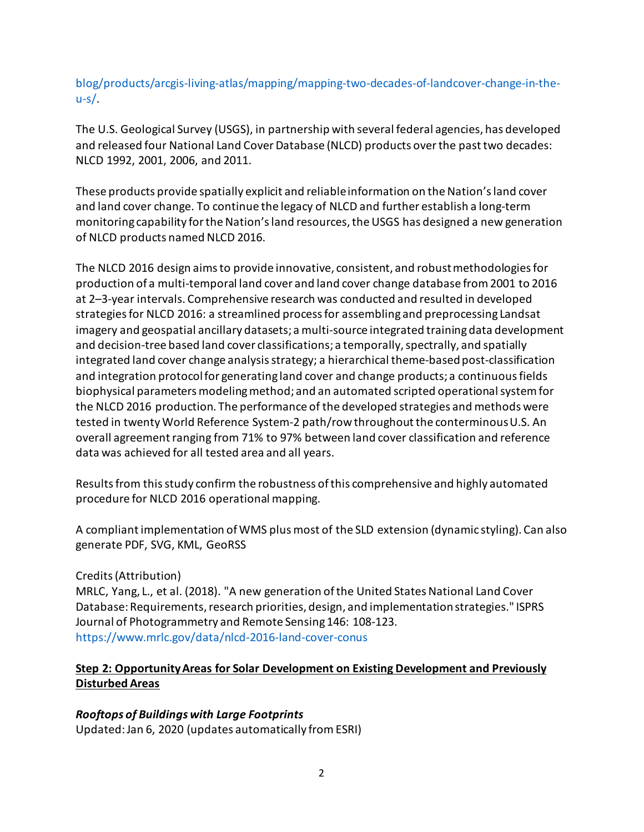[blog/products/arcgis-living-atlas/mapping/mapping-two-decades-of-landcover-change-in-the](https://www.esri.com/arcgis-blog/products/arcgis-living-atlas/mapping/mapping-two-decades-of-landcover-change-in-the-u-s/) $u-s/$ .

The U.S. Geological Survey (USGS), in partnership with several federal agencies, has developed and released four National Land Cover Database (NLCD) products over the past two decades: NLCD 1992, 2001, 2006, and 2011.

These products provide spatially explicit and reliable information on the Nation's land cover and land cover change. To continue the legacy of NLCD and further establish a long-term monitoring capability for the Nation's land resources, the USGS has designed a new generation of NLCD products named NLCD 2016.

The NLCD 2016 design aims to provide innovative, consistent, and robust methodologies for production of a multi-temporal land cover and land cover change database from 2001 to 2016 at 2–3-year intervals. Comprehensive research was conducted and resulted in developed strategies for NLCD 2016: a streamlined process for assembling and preprocessing Landsat imagery and geospatial ancillary datasets; a multi-source integrated training data development and decision-tree based land cover classifications; a temporally, spectrally, and spatially integrated land cover change analysis strategy; a hierarchical theme-based post-classification and integration protocol for generating land cover and change products; a continuous fields biophysical parameters modeling method; and an automated scripted operational system for the NLCD 2016 production. The performance of the developed strategies and methods were tested in twenty World Reference System-2 path/row throughout the conterminous U.S. An overall agreement ranging from 71% to 97% between land cover classification and reference data was achieved for all tested area and all years.

Results from this study confirm the robustness of this comprehensive and highly automated procedure for NLCD 2016 operational mapping.

A compliant implementation of WMS plus most of the SLD extension (dynamic styling). Can also generate PDF, SVG, KML, GeoRSS

Credits (Attribution)

MRLC, Yang, L., et al. (2018). "A new generation of the United States National Land Cover Database: Requirements, research priorities, design, and implementation strategies." ISPRS Journal of Photogrammetry and Remote Sensing 146: 108-123. <https://www.mrlc.gov/data/nlcd-2016-land-cover-conus>

# **Step 2: Opportunity Areas for Solar Development on Existing Development and Previously Disturbed Areas**

*Rooftops of Buildings with Large Footprints* Updated: Jan 6, 2020 (updates automatically from ESRI)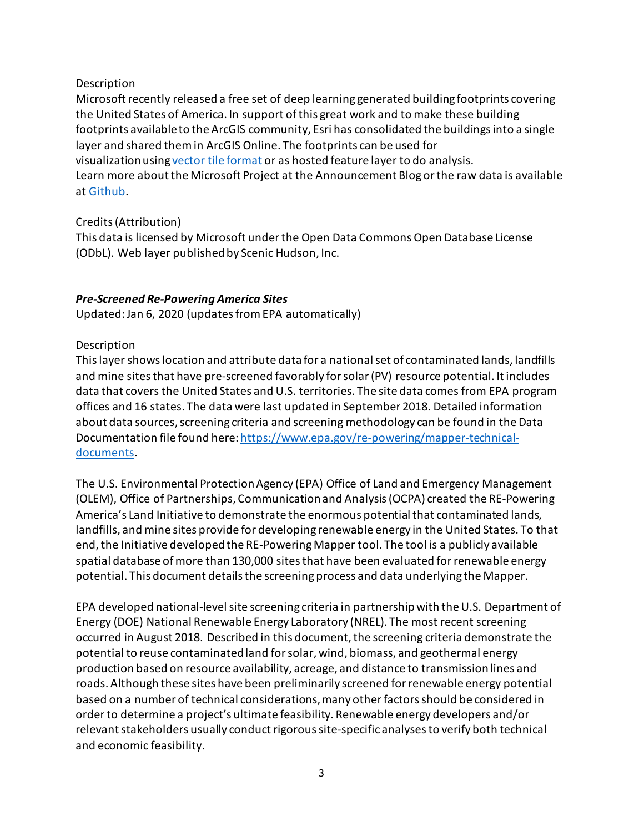### Description

Microsoft recently released a free set of deep learning generated building footprints covering the United States of America. In support of this great work and to make these building footprints available to the ArcGIS community, Esri has consolidated the buildings into a single layer and shared them in ArcGIS Online. The footprints can be used for visualization using [vector tile format](https://www.arcgis.com/home/item.html?id=f40326b0dea54330ae39584012807126) or as hosted feature layer to do analysis. Learn more about the Microsoft Project at the Announcement Blogor the raw data is available at [Github.](https://github.com/Microsoft/USBuildingFootprints)

### Credits (Attribution)

This data is licensed by Microsoft under the Open Data Commons Open Database License (ODbL). Web layer published by Scenic Hudson, Inc.

### *Pre-Screened Re-Powering America Sites*

Updated: Jan 6, 2020 (updates from EPA automatically)

### Description

This layer shows location and attribute data for a national set of contaminated lands, landfills and mine sites that have pre-screened favorably for solar (PV) resource potential. It includes data that covers the United States and U.S. territories. The site data comes from EPA program offices and 16 states. The data were last updated in September 2018. Detailed information about data sources, screening criteria and screening methodology can be found in the Data Documentation file found here: [https://www.epa.gov/re-powering/mapper-technical](https://www.epa.gov/re-powering/mapper-technical-documents)[documents.](https://www.epa.gov/re-powering/mapper-technical-documents)

The U.S. Environmental Protection Agency (EPA) Office of Land and Emergency Management (OLEM), Office of Partnerships, Communication and Analysis (OCPA) created the RE-Powering America's Land Initiative to demonstrate the enormous potential that contaminated lands, landfills, and mine sites provide for developing renewable energy in the United States. To that end, the Initiative developed the RE-Powering Mapper tool. The tool is a publicly available spatial database of more than 130,000 sites that have been evaluated for renewable energy potential. This document details the screening process and data underlying the Mapper.

EPA developed national-level site screening criteria in partnership with the U.S. Department of Energy (DOE) National Renewable Energy Laboratory (NREL). The most recent screening occurred in August 2018. Described in this document, the screening criteria demonstrate the potential to reuse contaminated land for solar, wind, biomass, and geothermal energy production based on resource availability, acreage, and distance to transmission lines and roads. Although these sites have been preliminarily screened for renewable energy potential based on a number of technical considerations, many other factors should be considered in order to determine a project's ultimate feasibility. Renewable energy developers and/or relevant stakeholders usually conduct rigorous site-specific analyses to verify both technical and economic feasibility.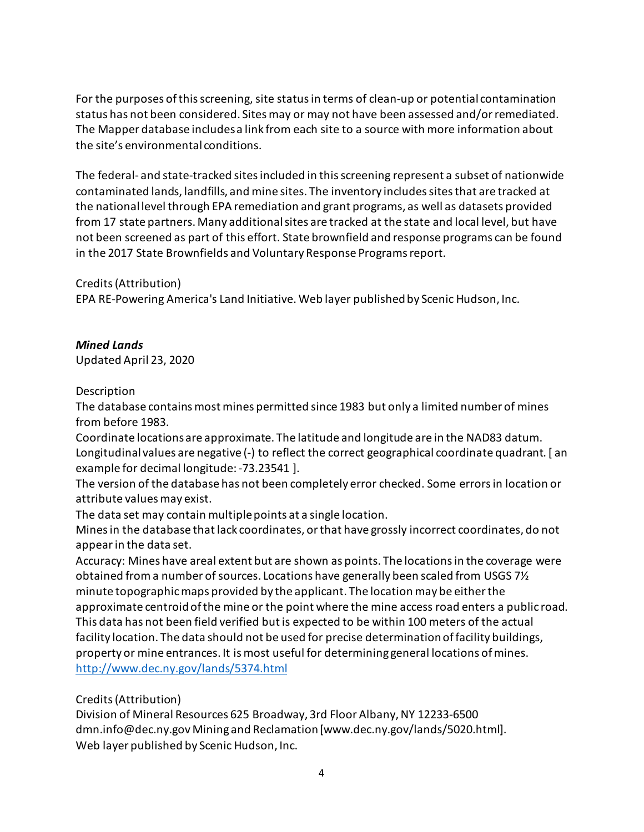For the purposes of this screening, site status in terms of clean-up or potential contamination status has not been considered. Sites may or may not have been assessed and/or remediated. The Mapper database includes a link from each site to a source with more information about the site's environmental conditions.

The federal- and state-tracked sites included in this screening represent a subset of nationwide contaminated lands, landfills, and mine sites. The inventory includes sites that are tracked at the national level through EPA remediation and grant programs, as well as datasets provided from 17 state partners. Many additional sites are tracked at the state and local level, but have not been screened as part of this effort. State brownfield and response programs can be found in the 2017 State Brownfields and Voluntary Response Programs report.

Credits (Attribution)

EPA RE-Powering America's Land Initiative. Web layer published by Scenic Hudson, Inc.

*Mined Lands* Updated April 23, 2020

### Description

The database contains most mines permitted since 1983 but only a limited number of mines from before 1983.

Coordinate locations are approximate. The latitude and longitude are in the NAD83 datum. Longitudinal values are negative (-) to reflect the correct geographical coordinate quadrant. [ an example for decimal longitude: -73.23541 ].

The version of the database has not been completely error checked. Some errors in location or attribute values may exist.

The data set may contain multiple points at a single location.

Mines in the database that lack coordinates, or that have grossly incorrect coordinates, do not appear in the data set.

Accuracy: Mines have areal extent but are shown as points. The locations in the coverage were obtained from a number of sources. Locations have generally been scaled from USGS 7½ minute topographic maps provided by the applicant. The location may be either the approximate centroid of the mine or the point where the mine access road enters a public road. This data has not been field verified but is expected to be within 100 meters of the actual facility location. The data should not be used for precise determination of facility buildings, property or mine entrances. It is most useful for determining general locations of mines. <http://www.dec.ny.gov/lands/5374.html>

# Credits (Attribution)

Division of Mineral Resources 625 Broadway, 3rd Floor Albany, NY 12233-6500 dmn.info@dec.ny.gov Mining and Reclamation [www.dec.ny.gov/lands/5020.html]. Web layer published by Scenic Hudson, Inc.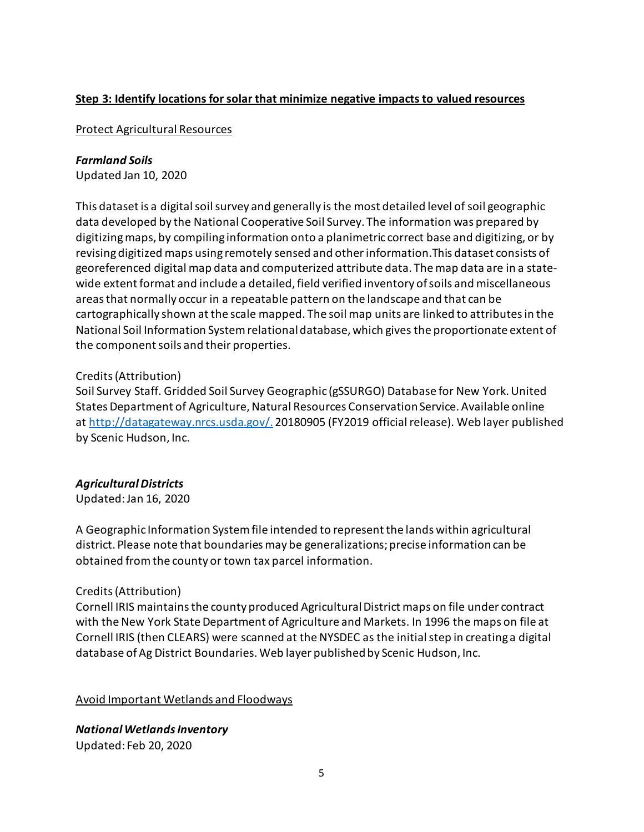# **Step 3: Identify locations for solar that minimize negative impacts to valued resources**

Protect Agricultural Resources

#### *Farmland Soils*

Updated Jan 10, 2020

This dataset is a digital soil survey and generally is the most detailed level of soil geographic data developed by the National Cooperative Soil Survey. The information was prepared by digitizing maps, by compiling information onto a planimetric correct base and digitizing, or by revising digitized maps using remotely sensed and other information.This dataset consists of georeferenced digital map data and computerized attribute data. The map data are in a statewide extent format and include a detailed, field verified inventory of soils and miscellaneous areas that normally occur in a repeatable pattern on the landscape and that can be cartographically shown at the scale mapped. The soil map units are linked to attributes in the National Soil Information System relational database, which gives the proportionate extent of the component soils and their properties.

### Credits (Attribution)

Soil Survey Staff. Gridded Soil Survey Geographic (gSSURGO) Database for New York. United States Department of Agriculture, Natural Resources Conservation Service. Available online at [http://datagateway.nrcs.usda.gov/.](http://datagateway.nrcs.usda.gov/) 20180905 (FY2019 official release). Web layer published by Scenic Hudson, Inc.

# *Agricultural Districts*

Updated: Jan 16, 2020

A Geographic Information System file intended to represent the lands within agricultural district. Please note that boundaries may be generalizations; precise information can be obtained from the county or town tax parcel information.

#### Credits (Attribution)

Cornell IRIS maintains the county produced Agricultural District maps on file under contract with the New York State Department of Agriculture and Markets. In 1996 the maps on file at Cornell IRIS (then CLEARS) were scanned at the NYSDEC as the initial step in creating a digital database of Ag District Boundaries. Web layer published by Scenic Hudson, Inc.

Avoid Important Wetlands and Floodways

*National Wetlands Inventory*  Updated: Feb 20, 2020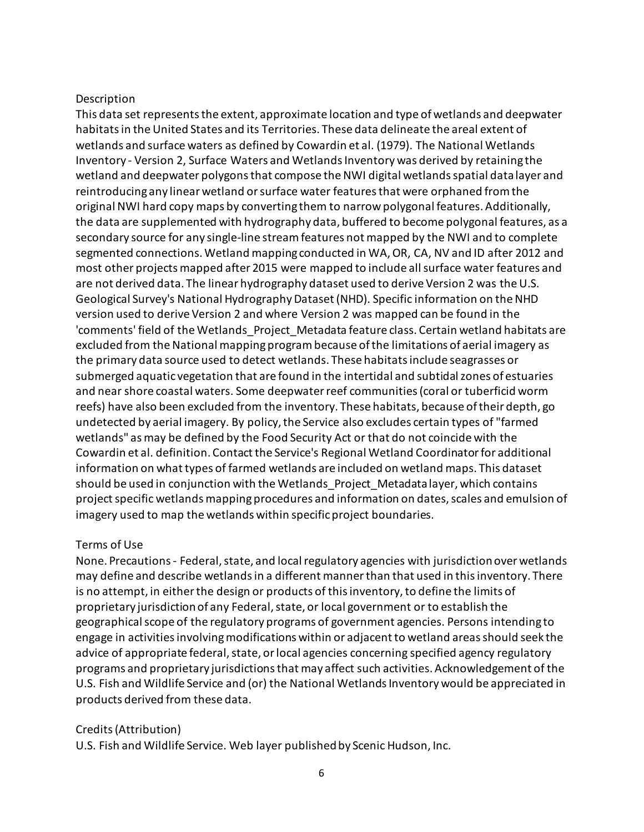#### Description

This data set represents the extent, approximate location and type of wetlands and deepwater habitats in the United States and its Territories. These data delineate the areal extent of wetlands and surface waters as defined by Cowardin et al. (1979). The National Wetlands Inventory - Version 2, Surface Waters and Wetlands Inventory was derived by retaining the wetland and deepwater polygons that compose the NWI digital wetlands spatial data layer and reintroducing any linear wetland or surface water features that were orphaned from the original NWI hard copy maps by converting them to narrow polygonal features. Additionally, the data are supplemented with hydrography data, buffered to become polygonal features, as a secondary source for any single-line stream features not mapped by the NWI and to complete segmented connections. Wetland mapping conducted in WA, OR, CA, NV and ID after 2012 and most other projects mapped after 2015 were mapped to include all surface water features and are not derived data. The linear hydrography dataset used to derive Version 2 was the U.S. Geological Survey's National Hydrography Dataset (NHD). Specific information on the NHD version used to derive Version 2 and where Version 2 was mapped can be found in the 'comments' field of the Wetlands\_Project\_Metadata feature class. Certain wetland habitats are excluded from the National mapping program because of the limitations of aerial imagery as the primary data source used to detect wetlands. These habitats include seagrasses or submerged aquatic vegetation that are found in the intertidal and subtidal zones of estuaries and near shore coastal waters. Some deepwater reef communities (coral or tuberficid worm reefs) have also been excluded from the inventory. These habitats, because oftheir depth, go undetected by aerial imagery. By policy, the Service also excludes certain types of "farmed wetlands" as may be defined by the Food Security Act or that do not coincide with the Cowardin et al. definition. Contact the Service's Regional Wetland Coordinator for additional information on what types of farmed wetlands are included on wetland maps. This dataset should be used in conjunction with the Wetlands\_Project\_Metadata layer, which contains project specific wetlands mapping procedures and information on dates, scales and emulsion of imagery used to map the wetlands within specific project boundaries.

#### Terms of Use

None. Precautions - Federal, state, and local regulatory agencies with jurisdiction over wetlands may define and describe wetlands in a different manner than that used in this inventory. There is no attempt, in either the design or products of this inventory, to define the limits of proprietary jurisdiction of any Federal, state, or local government or to establish the geographical scope of the regulatory programs of government agencies. Persons intending to engage in activities involving modifications within or adjacent to wetland areas should seek the advice of appropriate federal, state, or local agencies concerning specified agency regulatory programs and proprietary jurisdictions that may affect such activities. Acknowledgement of the U.S. Fish and Wildlife Service and (or) the National Wetlands Inventory would be appreciated in products derived from these data.

#### Credits (Attribution)

U.S. Fish and Wildlife Service. Web layer published by Scenic Hudson, Inc.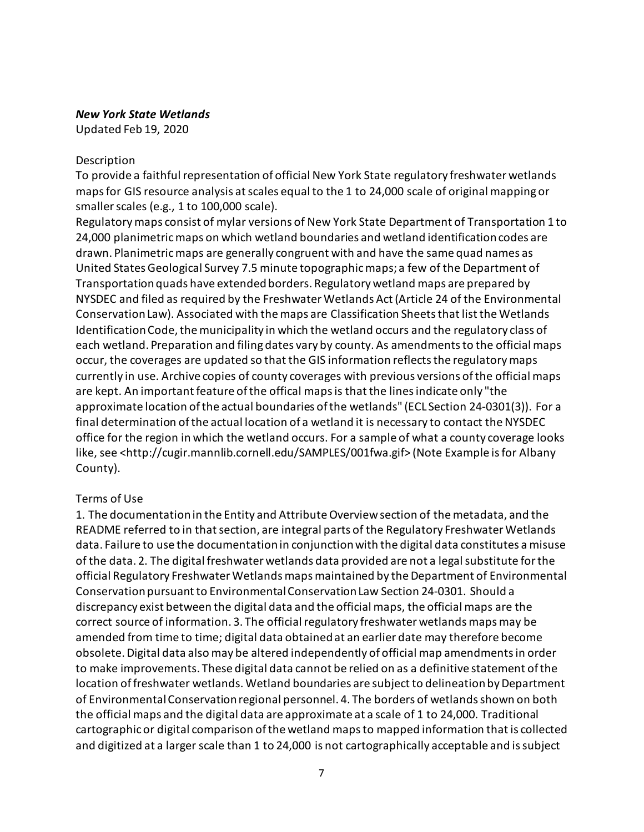#### *New York State Wetlands*

Updated Feb 19, 2020

#### Description

To provide a faithful representation of official New York State regulatory freshwater wetlands maps for GIS resource analysis at scales equal to the 1 to 24,000 scale of original mapping or smaller scales (e.g., 1 to 100,000 scale).

Regulatory maps consist of mylar versions of New York State Department of Transportation 1 to 24,000 planimetric maps on which wetland boundaries and wetland identification codes are drawn. Planimetric maps are generally congruent with and have the same quad names as United States Geological Survey 7.5 minute topographic maps; a few of the Department of Transportation quads have extended borders. Regulatory wetland maps are prepared by NYSDEC and filed as required by the Freshwater Wetlands Act (Article 24 of the Environmental Conservation Law). Associated with the maps are Classification Sheets that list the Wetlands Identification Code, the municipality in which the wetland occurs and the regulatory class of each wetland. Preparation and filing dates vary by county. As amendments to the official maps occur, the coverages are updated so that the GIS information reflects the regulatory maps currently in use. Archive copies of county coverages with previous versions of the official maps are kept. An important feature of the offical maps is that the lines indicate only "the approximate location of the actual boundaries of the wetlands" (ECL Section 24-0301(3)). For a final determination of the actual location of a wetland it is necessary to contact the NYSDEC office for the region in which the wetland occurs. For a sample of what a county coverage looks like, see <http://cugir.mannlib.cornell.edu/SAMPLES/001fwa.gif> (Note Example is for Albany County).

#### Terms of Use

1. The documentation in the Entity and Attribute Overview section of the metadata, and the README referred to in that section, are integral parts of the Regulatory Freshwater Wetlands data. Failure to use the documentation in conjunction with the digital data constitutes a misuse of the data. 2. The digital freshwater wetlands data provided are not a legal substitute for the official Regulatory Freshwater Wetlands maps maintained by the Department of Environmental Conservation pursuant to Environmental Conservation Law Section 24-0301. Should a discrepancy exist between the digital data and the official maps, the official maps are the correct source of information. 3. The official regulatory freshwater wetlands maps may be amended from time to time; digital data obtained at an earlier date may therefore become obsolete. Digital data also may be altered independently of official map amendments in order to make improvements. These digital data cannot be relied on as a definitive statement of the location of freshwater wetlands. Wetland boundaries are subject to delineation by Department of Environmental Conservation regional personnel. 4. The borders of wetlands shown on both the official maps and the digital data are approximate at a scale of 1 to 24,000. Traditional cartographic or digital comparison of the wetland maps to mapped information that is collected and digitized at a larger scale than 1 to 24,000 is not cartographically acceptable and is subject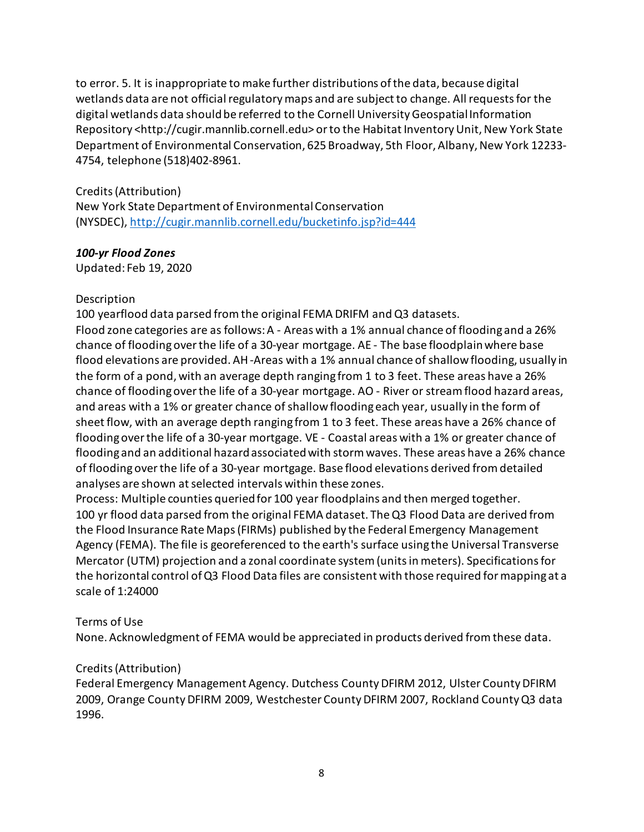to error. 5. It is inappropriate to make further distributions of the data, because digital wetlands data are not official regulatory maps and are subject to change. All requests for the digital wetlands data should be referred to the Cornell University Geospatial Information Repository <http://cugir.mannlib.cornell.edu> or to the Habitat Inventory Unit, New York State Department of Environmental Conservation, 625 Broadway, 5th Floor, Albany, New York 12233- 4754, telephone (518)402-8961.

Credits (Attribution) New York State Department of Environmental Conservation (NYSDEC), <http://cugir.mannlib.cornell.edu/bucketinfo.jsp?id=444>

### *100-yr Flood Zones*

Updated: Feb 19, 2020

#### Description

100 yearflood data parsed from the original FEMA DRIFM and Q3 datasets. Flood zone categories are as follows: A - Areas with a 1% annual chance of flooding and a 26% chance of flooding over the life of a 30-year mortgage. AE - The base floodplain where base flood elevations are provided. AH -Areas with a 1% annual chance of shallow flooding, usually in the form of a pond, with an average depth ranging from 1 to 3 feet. These areas have a 26% chance of flooding over the life of a 30-year mortgage. AO - River or stream flood hazard areas, and areas with a 1% or greater chance of shallow flooding each year, usually in the form of sheet flow, with an average depth ranging from 1 to 3 feet. These areas have a 26% chance of flooding over the life of a 30-year mortgage. VE - Coastal areas with a 1% or greater chance of flooding and an additional hazard associated with storm waves. These areas have a 26% chance of flooding over the life of a 30-year mortgage. Base flood elevations derived from detailed analyses are shown at selected intervals within these zones.

Process: Multiple counties queried for 100 year floodplains and then merged together. 100 yr flood data parsed from the original FEMA dataset. The Q3 Flood Data are derived from the Flood Insurance Rate Maps (FIRMs) published by the Federal Emergency Management Agency (FEMA). The file is georeferenced to the earth's surface using the Universal Transverse Mercator (UTM) projection and a zonal coordinate system (units in meters). Specifications for the horizontal control of Q3 Flood Data files are consistent with those required for mapping at a scale of 1:24000

#### Terms of Use

None. Acknowledgment of FEMA would be appreciated in products derived from these data.

#### Credits (Attribution)

Federal Emergency Management Agency. Dutchess County DFIRM 2012, Ulster County DFIRM 2009, Orange County DFIRM 2009, Westchester County DFIRM 2007, Rockland County Q3 data 1996.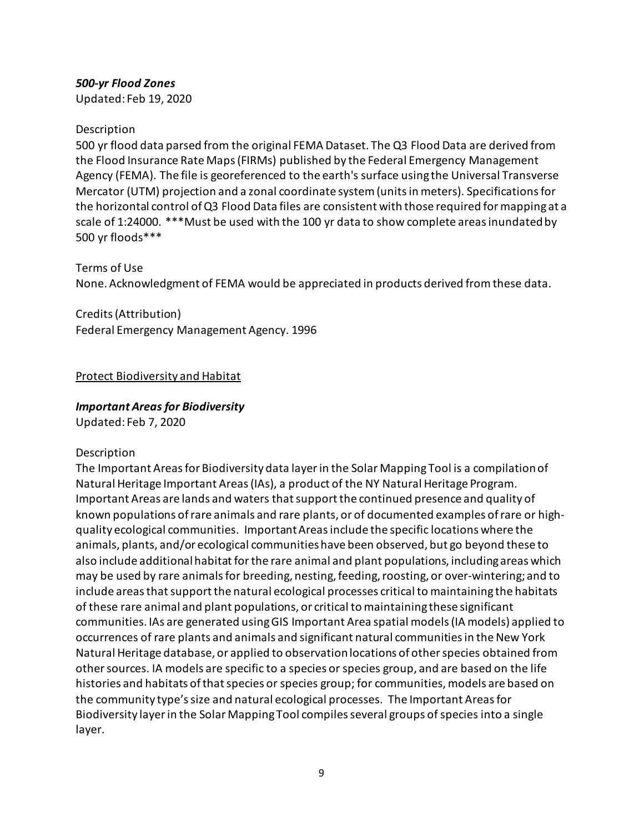# *500-yr Flood Zones*

Updated: Feb 19, 2020

#### Description

500 yr flood data parsed from the original FEMA Dataset. The Q3 Flood Data are derived from the Flood Insurance Rate Maps (FIRMs) published by the Federal Emergency Management Agency (FEMA). The file is georeferenced to the earth's surface using the Universal Transverse Mercator (UTM) projection and a zonal coordinate system (units in meters). Specifications for the horizontal control of Q3 Flood Data files are consistent with those required for mapping at a scale of 1:24000. \*\*\*Must be used with the 100 yr data to show complete areas inundated by 500 yr floods\*\*\*

Terms of Use

None. Acknowledgment of FEMA would be appreciated in products derived from these data.

Credits (Attribution) Federal Emergency Management Agency. 1996

### Protect Biodiversity and Habitat

### *Important Areas for Biodiversity*

Updated: Feb 7, 2020

#### Description

The Important Areas for Biodiversity data layer in the Solar Mapping Tool is a compilation of Natural Heritage Important Areas (IAs), a product of the NY Natural Heritage Program. Important Areas are lands and waters that support the continued presence and quality of known populations of rare animals and rare plants, or of documented examples of rare or highquality ecological communities. Important Areas include the specific locations where the animals, plants, and/or ecological communities have been observed, but go beyond these to also include additional habitat for the rare animal and plant populations, including areas which may be used by rare animals for breeding, nesting, feeding, roosting, or over-wintering; and to include areas that support the natural ecological processes critical to maintaining the habitats of these rare animal and plant populations, or critical to maintaining these significant communities. IAs are generated using GIS Important Area spatial models (IA models) applied to occurrences of rare plants and animals and significant natural communities in the New York Natural Heritage database, or applied to observation locations of other species obtained from other sources. IA models are specific to a species or species group, and are based on the life histories and habitats of that species or species group; for communities, models are based on the community type's size and natural ecological processes. The Important Areas for Biodiversity layer in the Solar Mapping Tool compiles several groups of species into a single layer.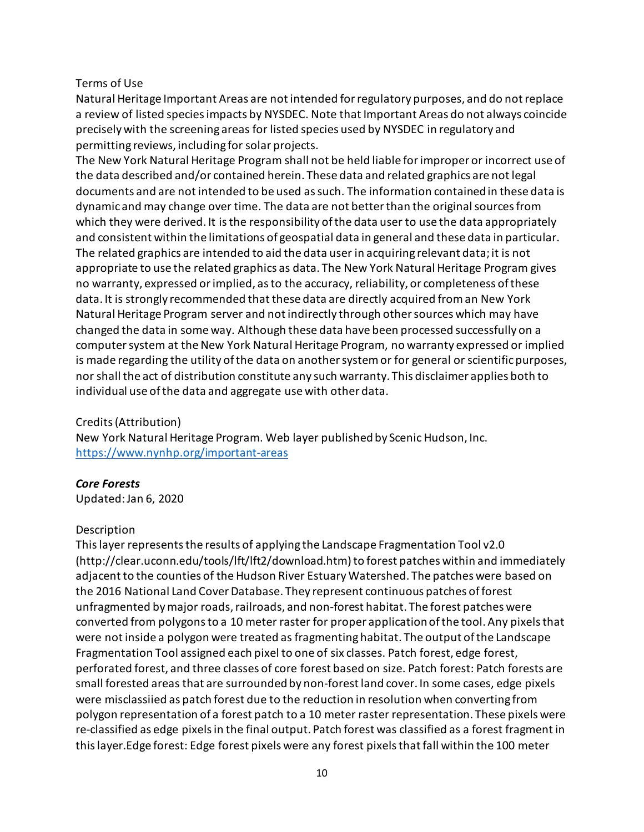### Terms of Use

Natural Heritage Important Areas are not intended for regulatory purposes, and do not replace a review of listed species impacts by NYSDEC. Note that Important Areas do not always coincide precisely with the screening areas for listed species used by NYSDEC in regulatory and permitting reviews, including for solar projects.

The New York Natural Heritage Program shall not be held liable for improper or incorrect use of the data described and/or contained herein. These data and related graphics are not legal documents and are not intended to be used as such. The information contained in these data is dynamic and may change over time. The data are not better than the original sources from which they were derived. It is the responsibility of the data user to use the data appropriately and consistent within the limitations of geospatial data in general and these data in particular. The related graphics are intended to aid the data user in acquiring relevant data;it is not appropriate to use the related graphics as data. The New York Natural Heritage Program gives no warranty, expressed or implied, as to the accuracy, reliability, or completeness of these data. It is strongly recommended that these data are directly acquired from an New York Natural Heritage Program server and not indirectly through other sources which may have changed the data in some way. Although these data have been processed successfully on a computer system at the New York Natural Heritage Program, no warranty expressed or implied is made regarding the utility of the data on another system or for general or scientific purposes, nor shall the act of distribution constitute any such warranty. This disclaimer applies both to individual use of the data and aggregate use with other data.

Credits (Attribution)

New York Natural Heritage Program. Web layer published by Scenic Hudson, Inc. <https://www.nynhp.org/important-areas>

# *Core Forests*

Updated: Jan 6, 2020

#### Description

This layer represents the results of applying the Landscape Fragmentation Tool v2.0 (http://clear.uconn.edu/tools/lft/lft2/download.htm) to forest patches within and immediately adjacent to the counties of the Hudson River Estuary Watershed. The patches were based on the 2016 National Land Cover Database. They represent continuous patches of forest unfragmented by major roads, railroads, and non-forest habitat. The forest patches were converted from polygons to a 10 meter raster for proper application of the tool. Any pixels that were not inside a polygon were treated as fragmenting habitat. The output of the Landscape Fragmentation Tool assigned each pixel to one of six classes. Patch forest, edge forest, perforated forest, and three classes of core forest based on size. Patch forest: Patch forests are small forested areas that are surrounded by non-forest land cover. In some cases, edge pixels were misclassiied as patch forest due to the reduction in resolution when converting from polygon representation of a forest patch to a 10 meter raster representation. These pixels were re-classified as edge pixels in the final output. Patch forest was classified as a forest fragment in this layer.Edge forest: Edge forest pixels were any forest pixels that fall within the 100 meter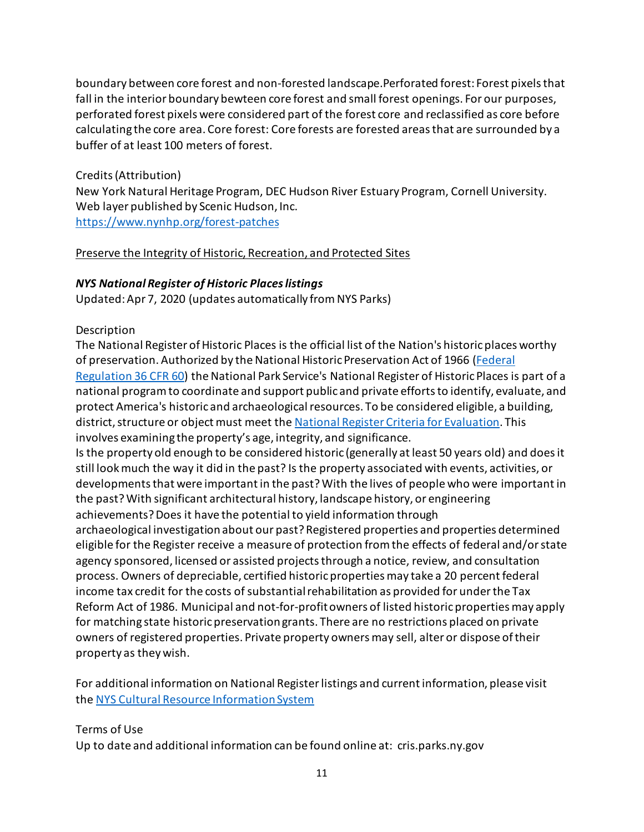boundary between core forest and non-forested landscape.Perforated forest: Forest pixels that fall in the interior boundary bewteen core forest and small forest openings. For our purposes, perforated forest pixels were considered part of the forest core and reclassified as core before calculating the core area. Core forest: Core forests are forested areas that are surrounded by a buffer of at least 100 meters of forest.

Credits (Attribution) New York Natural Heritage Program, DEC Hudson River Estuary Program, Cornell University. Web layer published by Scenic Hudson, Inc. <https://www.nynhp.org/forest-patches>

### Preserve the Integrity of Historic, Recreation, and Protected Sites

# *NYS National Register of Historic Places listings*

Updated: Apr 7, 2020 (updates automatically from NYS Parks)

# Description

The National Register of Historic Places is the official list of the Nation's historic places worthy of preservation. Authorized by the National Historic Preservation Act of 1966 [\(Federal](https://www.nps.gov/subjects/nationalregister/regulations.htm)  [Regulation 36 CFR 60\)](https://www.nps.gov/subjects/nationalregister/regulations.htm) the National Park Service's National Register of Historic Places is part of a national program to coordinate and support public and private efforts to identify, evaluate, and protect America's historic and archaeological resources. To be considered eligible, a building, district, structure or object must meet the [National Register Criteria for Evaluation.](https://www.nps.gov/subjects/nationalregister/upload/NRB-15_web508.pdf) This involves examining the property's age, integrity, and significance.

Is the property old enough to be considered historic (generally at least 50 years old) and does it still look much the way it did in the past? Is the property associated with events, activities, or developments that were important in the past? With the lives of people who were important in the past? With significant architectural history, landscape history, or engineering achievements? Does it have the potential to yield information through archaeological investigation about our past? Registered properties and properties determined eligible for the Register receive a measure of protection from the effects of federal and/or state agency sponsored, licensed or assisted projects through a notice, review, and consultation process. Owners of depreciable, certified historic properties may take a 20 percent federal income tax credit for the costs of substantial rehabilitation as provided for under the Tax Reform Act of 1986. Municipal and not-for-profit owners of listed historic properties may apply for matching state historic preservation grants. There are no restrictions placed on private owners of registered properties. Private property owners may sell, alter or dispose of their property as they wish.

For additional information on National Register listings and current information, please visit the [NYS Cultural Resource Information System](https://cris.parks.ny.gov/)

# Terms of Use

Up to date and additional information can be found online at: cris.parks.ny.gov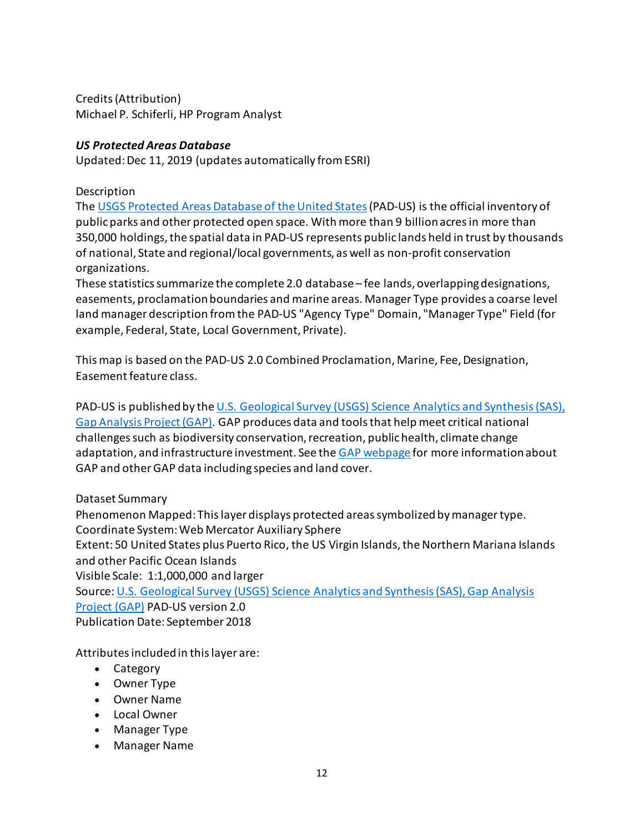Credits (Attribution) Michael P. Schiferli, HP Program Analyst

# *US Protected Areas Database*

Updated: Dec 11, 2019 (updates automatically from ESRI)

### Description

The USGS [Protected Areas Database of the United States](https://gapanalysis.usgs.gov/padus/)(PAD-US) is the official inventory of public parks and other protected open space. With more than 9 billion acres in more than 350,000 holdings, the spatial data in PAD-US represents public lands held in trust by thousands of national, State and regional/local governments, as well as non-profit conservation organizations.

These statistics summarize the complete 2.0 database – fee lands, overlapping designations, easements, proclamation boundaries and marine areas. Manager Type provides a coarse level land manager description from the PAD-US "Agency Type" Domain, "Manager Type" Field (for example, Federal, State, Local Government, Private).

This map is based on the PAD-US 2.0 Combined Proclamation, Marine, Fee, Designation, Easement feature class.

PAD-US is published by the U.S. Geological Survey (USGS) Science Analytics and Synthesis (SAS), [Gap Analysis Project \(GAP\).](https://gapanalysis.usgs.gov/padus/) GAP produces data and tools that help meet critical national challenges such as biodiversity conservation, recreation, public health, climate change adaptation, and infrastructure investment. See the [GAP webpage](https://gapanalysis.usgs.gov/) for more information about GAP and other GAP data including species and land cover.

# Dataset Summary

Phenomenon Mapped: This layer displays protected areas symbolized by manager type. Coordinate System:Web Mercator Auxiliary Sphere Extent: 50 United States plus Puerto Rico, the US Virgin Islands, the Northern Mariana Islands and other Pacific Ocean Islands Visible Scale: 1:1,000,000 and larger Source: [U.S. Geological Survey \(USGS\) Science Analytics and Synthesis \(SAS\), Gap Analysis](https://gapanalysis.usgs.gov/padus/)  [Project \(GAP\)](https://gapanalysis.usgs.gov/padus/) PAD-US version 2.0 Publication Date: September 2018

Attributes included in this layer are:

- Category
- Owner Type
- Owner Name
- Local Owner
- Manager Type
- Manager Name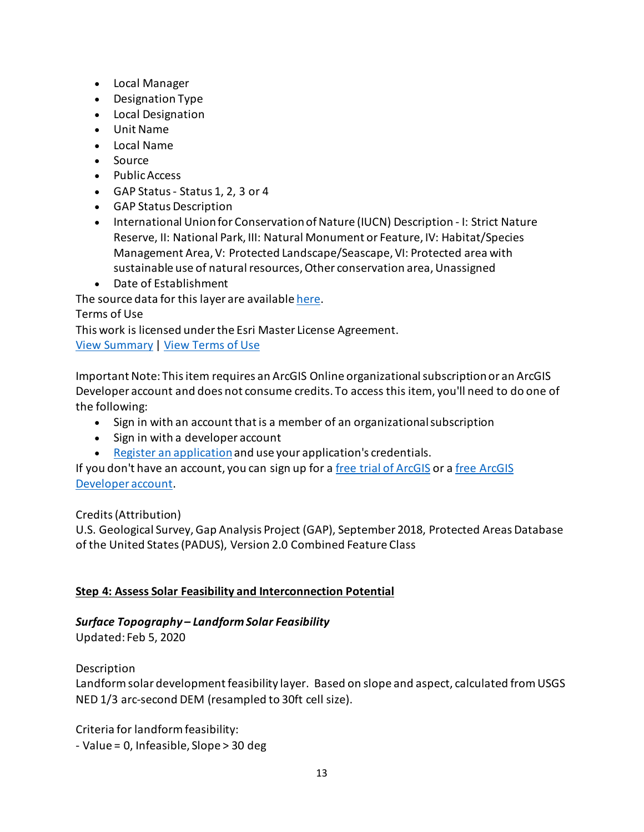- Local Manager
- Designation Type
- Local Designation
- Unit Name
- Local Name
- Source
- Public Access
- GAP Status Status 1, 2, 3 or 4
- GAP Status Description
- International Union for Conservation of Nature (IUCN) Description I: Strict Nature Reserve, II: National Park, III: Natural Monument or Feature, IV: Habitat/Species Management Area, V: Protected Landscape/Seascape, VI: Protected area with sustainable use of natural resources, Other conservation area, Unassigned
- Date of Establishment

The source data for this layer are available [here.](https://gapanalysis.usgs.gov/padus/data/download/)

Terms of Use

This work is licensed under the Esri Master License Agreement.

[View Summary](https://goto.arcgis.com/termsofuse/viewsummary) | [View Terms of Use](https://goto.arcgis.com/termsofuse/viewtermsofuse)

Important Note: This item requires an ArcGIS Online organizational subscription or an ArcGIS Developer account and does not consume credits. To access this item, you'll need to do one of the following:

- Sign in with an account that is a member of an organizational subscription
- Sign in with a developer account
- [Register an application](https://goto.arcgis.com/termsofuse/registeranapplication) and use your application's credentials.

If you don't have an account, you can sign up for a [free trial of ArcGIS](https://goto.arcgis.com/features/trial) or a free ArcGIS [Developer account.](https://goto.arcgis.com/developers/signup)

# Credits (Attribution)

U.S. Geological Survey, Gap Analysis Project (GAP), September 2018, Protected Areas Database of the United States (PADUS), Version 2.0 Combined Feature Class

# **Step 4: Assess Solar Feasibility and Interconnection Potential**

# *Surface Topography – Landform Solar Feasibility*

Updated: Feb 5, 2020

Description

Landform solar development feasibility layer. Based on slope and aspect, calculated from USGS NED 1/3 arc-second DEM (resampled to 30ft cell size).

Criteria for landform feasibility:

- Value = 0, Infeasible, Slope > 30 deg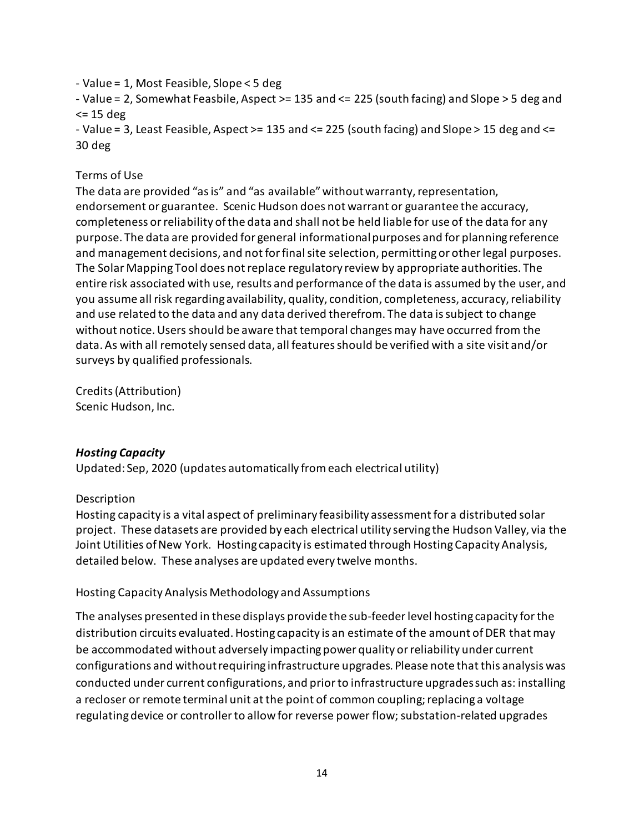- Value = 1, Most Feasible, Slope < 5 deg

- Value = 2, Somewhat Feasbile, Aspect >= 135 and <= 225 (south facing) and Slope > 5 deg and  $\le$  15 deg

- Value = 3, Least Feasible, Aspect >= 135 and <= 225 (south facing) and Slope > 15 deg and <= 30 deg

# Terms of Use

The data are provided "as is" and "as available" without warranty, representation, endorsement or guarantee. Scenic Hudson does not warrant or guarantee the accuracy, completeness or reliability of the data and shall not be held liable for use of the data for any purpose. The data are provided for general informational purposes and for planning reference and management decisions, and not for final site selection, permitting or other legal purposes. The Solar Mapping Tool does not replace regulatory review by appropriate authorities. The entire risk associated with use, results and performance of the data is assumed by the user, and you assume all risk regarding availability, quality, condition, completeness, accuracy, reliability and use related to the data and any data derived therefrom. The data is subject to change without notice. Users should be aware that temporal changes may have occurred from the data. As with all remotely sensed data, all features should be verified with a site visit and/or surveys by qualified professionals.

Credits (Attribution) Scenic Hudson, Inc.

# *Hosting Capacity*

Updated: Sep, 2020 (updates automatically from each electrical utility)

# **Description**

Hosting capacity is a vital aspect of preliminary feasibility assessment for a distributed solar project. These datasets are provided by each electrical utility serving the Hudson Valley, via the Joint Utilities of New York. Hosting capacity is estimated through Hosting Capacity Analysis, detailed below. These analyses are updated every twelve months.

# Hosting Capacity Analysis Methodology and Assumptions

The analyses presented in these displays provide the sub-feeder level hosting capacity for the distribution circuits evaluated. Hosting capacity is an estimate of the amount of DER that may be accommodated without adversely impacting power quality or reliability under current configurations and without requiring infrastructure upgrades. Please note that this analysis was conducted under current configurations, and prior to infrastructure upgrades such as: installing a recloser or remote terminal unit at the point of common coupling; replacing a voltage regulating device or controller to allow for reverse power flow; substation-related upgrades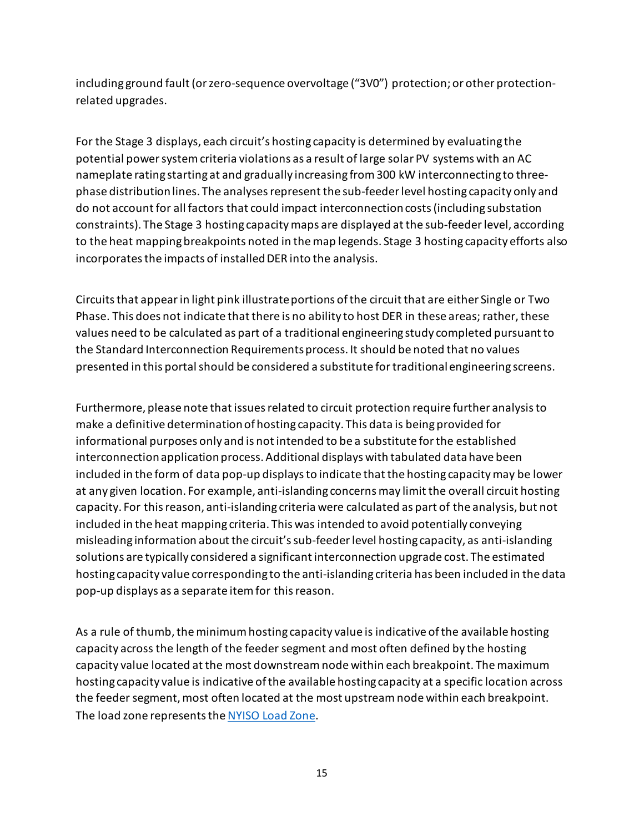including ground fault (or zero-sequence overvoltage ("3V0") protection; or other protectionrelated upgrades.

For the Stage 3 displays, each circuit's hosting capacity is determined by evaluating the potential power system criteria violations as a result of large solar PV systems with an AC nameplate rating starting at and gradually increasing from 300 kW interconnecting to threephase distribution lines. The analyses represent the sub-feeder level hosting capacity only and do not account for all factors that could impact interconnection costs (including substation constraints). The Stage 3 hosting capacity maps are displayed at the sub-feeder level, according to the heat mapping breakpoints noted in the map legends. Stage 3 hosting capacity efforts also incorporates the impacts of installed DER into the analysis.

Circuits that appear in light pink illustrate portions of the circuit that are either Single or Two Phase. This does not indicate that there is no ability to host DER in these areas; rather, these values need to be calculated as part of a traditional engineering study completed pursuant to the Standard Interconnection Requirements process. It should be noted that no values presented in this portal should be considered a substitute for traditional engineering screens.

Furthermore, please note that issues related to circuit protection require further analysis to make a definitive determination of hosting capacity. This data is being provided for informational purposes only and is not intended to be a substitute for the established interconnection application process. Additional displays with tabulated data have been included in the form of data pop-up displays to indicate that the hosting capacity may be lower at any given location. For example, anti-islanding concerns may limit the overall circuit hosting capacity. For this reason, anti-islanding criteria were calculated as part of the analysis, but not included in the heat mapping criteria. This was intended to avoid potentially conveying misleading information about the circuit's sub-feeder level hosting capacity, as anti-islanding solutions are typically considered a significant interconnection upgrade cost. The estimated hosting capacity value corresponding to the anti-islanding criteria has been included in the data pop-up displays as a separate item for this reason.

As a rule of thumb, the minimum hosting capacity value is indicative of the available hosting capacity across the length of the feeder segment and most often defined by the hosting capacity value located at the most downstream node within each breakpoint. The maximum hosting capacity value is indicative of the available hosting capacity at a specific location across the feeder segment, most often located at the most upstream node within each breakpoint. The load zone represents the [NYISO Load Zone.](https://www.nyiso.com/documents/20142/1397960/nyca_zonemaps.pdf/8c3807e1-5bab-ab44-3c71-2c8e61b5748b)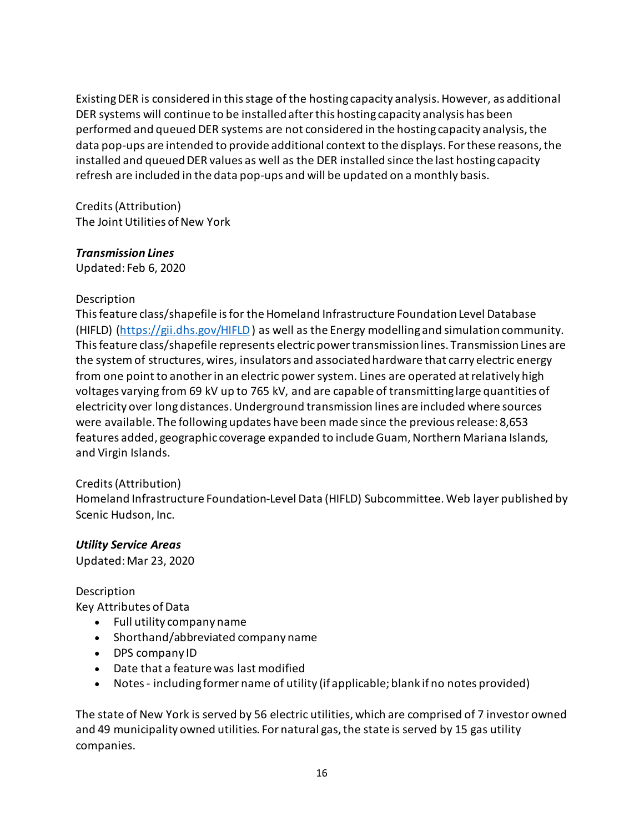Existing DER is considered in this stage of the hosting capacity analysis. However, as additional DER systems will continue to be installed after this hosting capacity analysis has been performed and queued DER systems are not considered in the hosting capacity analysis, the data pop-ups are intended to provide additional context to the displays. For these reasons, the installed and queued DER values as well as the DER installed since the last hosting capacity refresh are included in the data pop-ups and will be updated on a monthly basis.

Credits (Attribution) The Joint Utilities of New York

# *Transmission Lines*

Updated: Feb 6, 2020

### Description

This feature class/shapefile is for the Homeland Infrastructure Foundation Level Database (HIFLD) [\(https://gii.dhs.gov/HIFLD](https://gii.dhs.gov/HIFLD)) as well as the Energy modelling and simulation community. This feature class/shapefile represents electric power transmission lines. Transmission Lines are the system of structures, wires, insulators and associated hardware that carry electric energy from one point to another in an electric power system. Lines are operated at relatively high voltages varying from 69 kV up to 765 kV, and are capable of transmitting large quantities of electricity over long distances. Underground transmission lines are included where sources were available. The following updates have been made since the previous release: 8,653 features added, geographic coverage expanded to include Guam, Northern Mariana Islands, and Virgin Islands.

# Credits (Attribution)

Homeland Infrastructure Foundation-Level Data (HIFLD) Subcommittee. Web layer published by Scenic Hudson, Inc.

# *Utility Service Areas*

Updated: Mar 23, 2020

# Description

Key Attributes of Data

- Full utility company name
- Shorthand/abbreviated company name
- DPS company ID
- Date that a feature was last modified
- Notes including former name of utility (if applicable; blank if no notes provided)

The state of New York is served by 56 electric utilities, which are comprised of 7 investor owned and 49 municipality owned utilities. For natural gas, the state is served by 15 gas utility companies.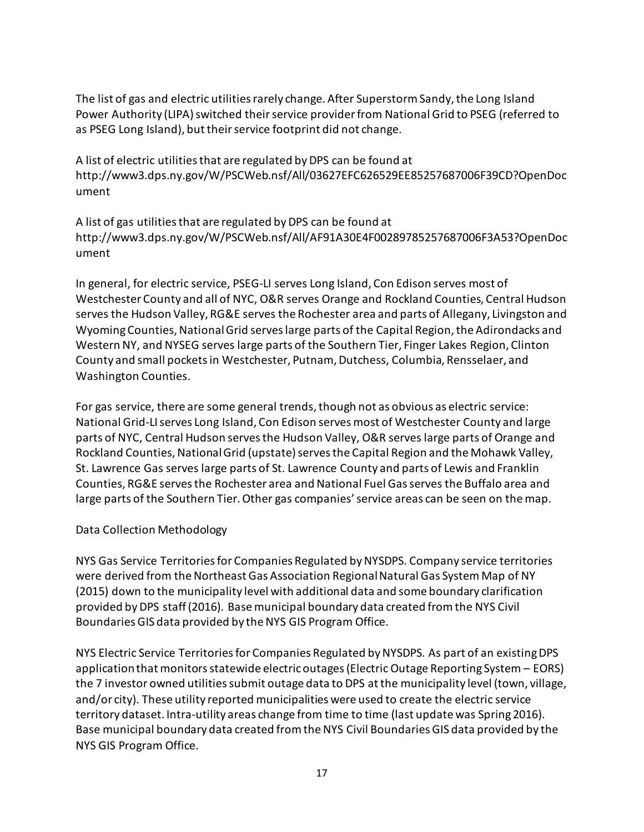The list of gas and electric utilities rarely change. After Superstorm Sandy, the Long Island Power Authority (LIPA) switched their service provider from National Grid to PSEG (referred to as PSEG Long Island), but their service footprint did not change.

A list of electric utilities that are regulated by DPS can be found at http://www3.dps.ny.gov/W/PSCWeb.nsf/All/03627EFC626529EE85257687006F39CD?OpenDoc ument

A list of gas utilities that are regulated by DPS can be found at http://www3.dps.ny.gov/W/PSCWeb.nsf/All/AF91A30E4F00289785257687006F3A53?OpenDoc ument

In general, for electric service, PSEG-LI serves Long Island, Con Edison serves most of Westchester County and all of NYC, O&R serves Orange and Rockland Counties, Central Hudson serves the Hudson Valley, RG&E serves the Rochester area and parts of Allegany, Livingston and Wyoming Counties, National Grid serves large parts of the Capital Region, the Adirondacks and Western NY, and NYSEG serves large parts of the Southern Tier, Finger Lakes Region, Clinton County and small pockets in Westchester, Putnam, Dutchess, Columbia, Rensselaer, and Washington Counties.

For gas service, there are some general trends, though not as obvious as electric service: National Grid-LI serves Long Island, Con Edison serves most of Westchester County and large parts of NYC, Central Hudson serves the Hudson Valley, O&R serves large parts of Orange and Rockland Counties, National Grid (upstate) serves the Capital Region and the Mohawk Valley, St. Lawrence Gas serves large parts of St. Lawrence County and parts of Lewis and Franklin Counties, RG&E serves the Rochester area and National Fuel Gas serves the Buffalo area and large parts of the Southern Tier. Other gas companies' service areas can be seen on the map.

# Data Collection Methodology

NYS Gas Service Territories for Companies Regulated by NYSDPS. Company service territories were derived from the Northeast Gas Association Regional Natural Gas System Map of NY (2015) down to the municipality level with additional data and some boundary clarification provided by DPS staff (2016). Base municipal boundary data created from the NYS Civil Boundaries GIS data provided by the NYS GIS Program Office.

NYS Electric Service Territories for Companies Regulated by NYSDPS. As part of an existing DPS application that monitors statewide electric outages (Electric Outage Reporting System – EORS) the 7 investor owned utilities submit outage data to DPS at the municipality level (town, village, and/or city). These utility reported municipalities were used to create the electric service territory dataset. Intra-utility areas change from time to time (last update was Spring 2016). Base municipal boundary data created from the NYS Civil Boundaries GIS data provided by the NYS GIS Program Office.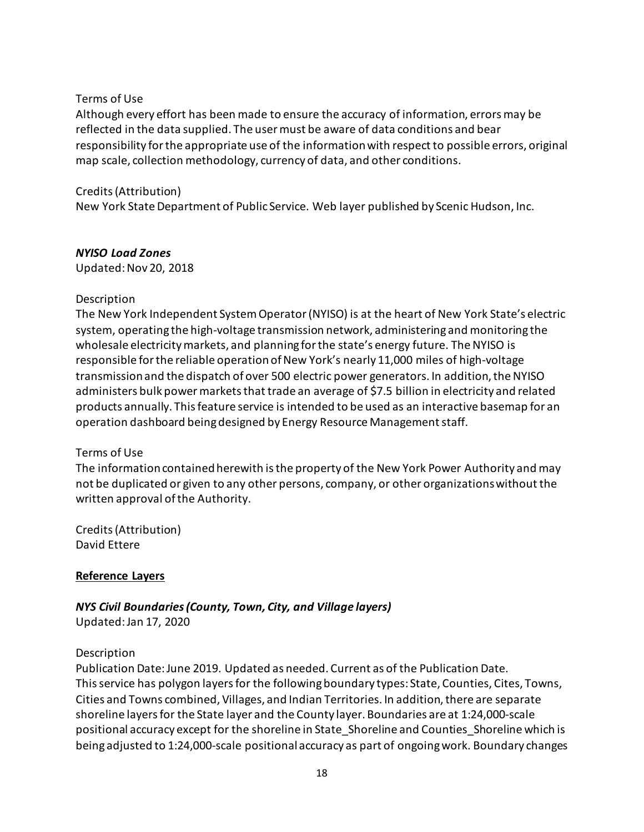### Terms of Use

Although every effort has been made to ensure the accuracy of information, errors may be reflected in the data supplied. The user must be aware of data conditions and bear responsibility for the appropriate use of the information with respect to possible errors, original map scale, collection methodology, currency of data, and other conditions.

### Credits (Attribution)

New York State Department of Public Service. Web layer published by Scenic Hudson, Inc.

### *NYISO Load Zones*

Updated: Nov 20, 2018

#### Description

The New York Independent System Operator (NYISO) is at the heart of New York State's electric system, operating the high-voltage transmission network, administering and monitoring the wholesale electricity markets, and planning for the state's energy future. The NYISO is responsible for the reliable operation of New York's nearly 11,000 miles of high-voltage transmission and the dispatch of over 500 electric power generators. In addition, the NYISO administers bulk power markets that trade an average of \$7.5 billion in electricity and related products annually. This feature service is intended to be used as an interactive basemap for an operation dashboard being designed by Energy Resource Management staff.

#### Terms of Use

The information contained herewith isthe property of the New York Power Authority and may not be duplicated or given to any other persons, company, or other organizations without the written approval of the Authority.

Credits (Attribution) David Ettere

# **Reference Layers**

# *NYS Civil Boundaries (County, Town, City, and Village layers)* Updated: Jan 17, 2020

# Description

Publication Date: June 2019. Updated as needed. Current as of the Publication Date. This service has polygon layers for the following boundary types: State, Counties, Cites, Towns, Cities and Towns combined, Villages, and Indian Territories. In addition, there are separate shoreline layers for the State layer and the County layer. Boundaries are at 1:24,000-scale positional accuracy except for the shoreline in State\_Shoreline and Counties\_Shoreline which is being adjusted to 1:24,000-scale positional accuracy as part of ongoing work. Boundary changes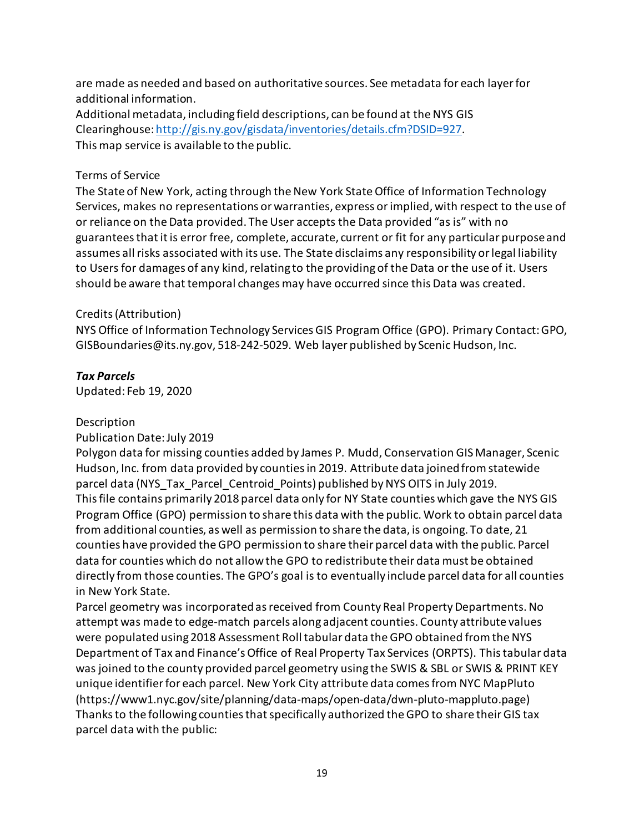are made as needed and based on authoritative sources. See metadata for each layer for additional information.

Additional metadata, including field descriptions, can be found at the NYS GIS Clearinghouse: [http://gis.ny.gov/gisdata/inventories/details.cfm?DSID=927.](http://gis.ny.gov/gisdata/inventories/details.cfm?DSID=927) This map service is available to the public.

# Terms of Service

The State of New York, acting through the New York State Office of Information Technology Services, makes no representations or warranties, express or implied, with respect to the use of or reliance on the Data provided. The User accepts the Data provided "as is" with no guarantees that it is error free, complete, accurate, current or fit for any particular purpose and assumes all risks associated with its use. The State disclaims any responsibility or legal liability to Users for damages of any kind, relating to the providing of the Data or the use of it. Users should be aware that temporal changes may have occurred since this Data was created.

### Credits (Attribution)

NYS Office of Information Technology Services GIS Program Office (GPO). Primary Contact: GPO, GISBoundaries@its.ny.gov, 518-242-5029. Web layer published by Scenic Hudson, Inc.

### *Tax Parcels*

Updated: Feb 19, 2020

#### Description

#### Publication Date: July 2019

Polygon data for missing counties added by James P. Mudd, Conservation GIS Manager, Scenic Hudson, Inc. from data provided by counties in 2019. Attribute data joined from statewide parcel data (NYS\_Tax\_Parcel\_Centroid\_Points) published by NYS OITS in July 2019. This file contains primarily 2018 parcel data only for NY State counties which gave the NYS GIS Program Office (GPO) permission to share this data with the public. Work to obtain parcel data from additional counties, as well as permission to share the data, is ongoing. To date, 21 counties have provided the GPO permission to share their parcel data with the public. Parcel data for counties which do not allow the GPO to redistribute their data must be obtained directly from those counties. The GPO's goal is to eventually include parcel data for all counties in New York State.

Parcel geometry was incorporated as received from County Real Property Departments. No attempt was made to edge-match parcels along adjacent counties. County attribute values were populated using 2018 Assessment Roll tabular data the GPO obtained fromthe NYS Department of Tax and Finance's Office of Real Property Tax Services (ORPTS). This tabular data was joined to the county provided parcel geometry using the SWIS & SBL or SWIS & PRINT KEY unique identifier for each parcel. New York City attribute data comes from NYC MapPluto (https://www1.nyc.gov/site/planning/data-maps/open-data/dwn-pluto-mappluto.page) Thanks to the following counties that specifically authorized the GPO to share their GIS tax parcel data with the public: